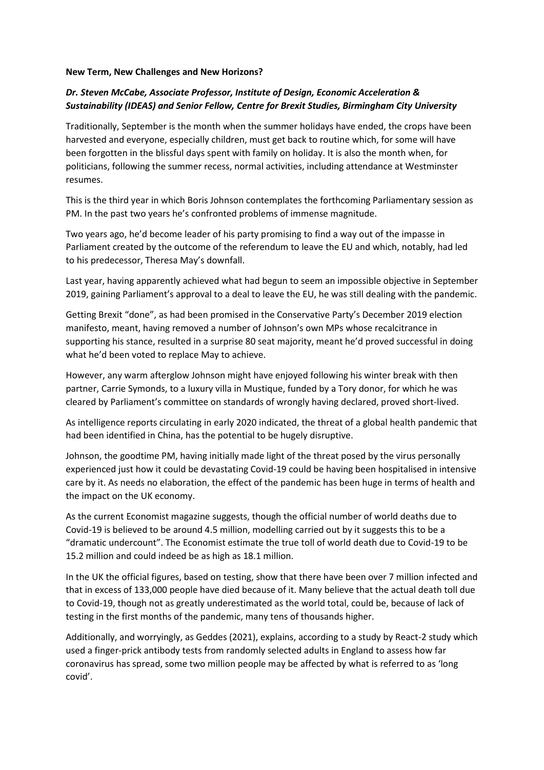## **New Term, New Challenges and New Horizons?**

## *Dr. Steven McCabe, Associate Professor, Institute of Design, Economic Acceleration & Sustainability (IDEAS) and Senior Fellow, Centre for Brexit Studies, Birmingham City University*

Traditionally, September is the month when the summer holidays have ended, the crops have been harvested and everyone, especially children, must get back to routine which, for some will have been forgotten in the blissful days spent with family on holiday. It is also the month when, for politicians, following the summer recess, normal activities, including attendance at Westminster resumes.

This is the third year in which Boris Johnson contemplates the forthcoming Parliamentary session as PM. In the past two years he's confronted problems of immense magnitude.

Two years ago, he'd become leader of his party promising to find a way out of the impasse in Parliament created by the outcome of the referendum to leave the EU and which, notably, had led to his predecessor, Theresa May's downfall.

Last year, having apparently achieved what had begun to seem an impossible objective in September 2019, gaining Parliament's approval to a deal to leave the EU, he was still dealing with the pandemic.

Getting Brexit "done", as had been promised in the Conservative Party's December 2019 election manifesto, meant, having removed a number of Johnson's own MPs whose recalcitrance in supporting his stance, resulted in a surprise 80 seat majority, meant he'd proved successful in doing what he'd been voted to replace May to achieve.

However, any warm afterglow Johnson might have enjoyed following his winter break with then partner, Carrie Symonds, to a luxury villa in Mustique, funded by a Tory donor, for which he was cleared by Parliament's committee on standards of wrongly having declared, proved short-lived.

As intelligence reports circulating in early 2020 indicated, the threat of a global health pandemic that had been identified in China, has the potential to be hugely disruptive.

Johnson, the goodtime PM, having initially made light of the threat posed by the virus personally experienced just how it could be devastating Covid-19 could be having been hospitalised in intensive care by it. As needs no elaboration, the effect of the pandemic has been huge in terms of health and the impact on the UK economy.

As the current Economist magazine suggests, though the official number of world deaths due to Covid-19 is believed to be around 4.5 million, modelling carried out by it suggests this to be a "dramatic undercount". The Economist estimate the true toll of world death due to Covid-19 to be 15.2 million and could indeed be as high as 18.1 million.

In the UK the official figures, based on testing, show that there have been over 7 million infected and that in excess of 133,000 people have died because of it. Many believe that the actual death toll due to Covid-19, though not as greatly underestimated as the world total, could be, because of lack of testing in the first months of the pandemic, many tens of thousands higher.

Additionally, and worryingly, as Geddes (2021), explains, according to a study by React-2 study which used a finger-prick antibody tests from randomly selected adults in England to assess how far coronavirus has spread, some two million people may be affected by what is referred to as 'long covid'.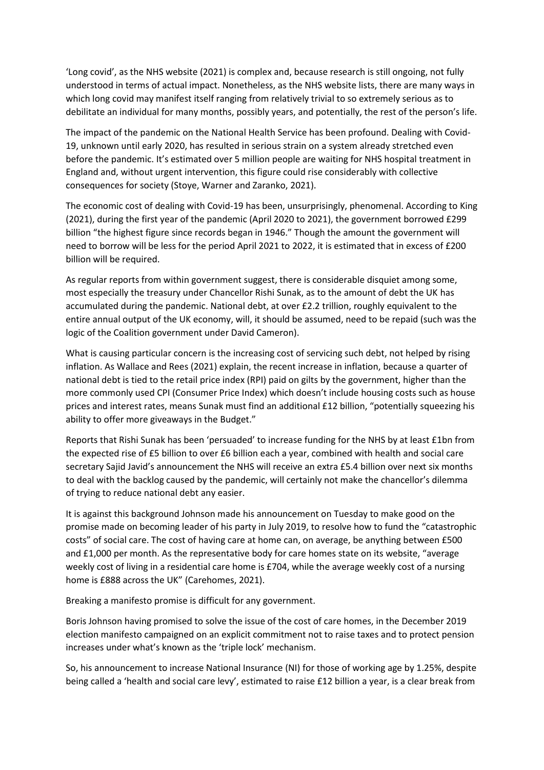'Long covid', as the NHS website (2021) is complex and, because research is still ongoing, not fully understood in terms of actual impact. Nonetheless, as the NHS website lists, there are many ways in which long covid may manifest itself ranging from relatively trivial to so extremely serious as to debilitate an individual for many months, possibly years, and potentially, the rest of the person's life.

The impact of the pandemic on the National Health Service has been profound. Dealing with Covid-19, unknown until early 2020, has resulted in serious strain on a system already stretched even before the pandemic. It's estimated over 5 million people are waiting for NHS hospital treatment in England and, without urgent intervention, this figure could rise considerably with collective consequences for society (Stoye, Warner and Zaranko, 2021).

The economic cost of dealing with Covid-19 has been, unsurprisingly, phenomenal. According to King (2021), during the first year of the pandemic (April 2020 to 2021), the government borrowed £299 billion "the highest figure since records began in 1946." Though the amount the government will need to borrow will be less for the period April 2021 to 2022, it is estimated that in excess of £200 billion will be required.

As regular reports from within government suggest, there is considerable disquiet among some, most especially the treasury under Chancellor Rishi Sunak, as to the amount of debt the UK has accumulated during the pandemic. National debt, at over £2.2 trillion, roughly equivalent to the entire annual output of the UK economy, will, it should be assumed, need to be repaid (such was the logic of the Coalition government under David Cameron).

What is causing particular concern is the increasing cost of servicing such debt, not helped by rising inflation. As Wallace and Rees (2021) explain, the recent increase in inflation, because a quarter of national debt is tied to the retail price index (RPI) paid on gilts by the government, higher than the more commonly used CPI (Consumer Price Index) which doesn't include housing costs such as house prices and interest rates, means Sunak must find an additional £12 billion, "potentially squeezing his ability to offer more giveaways in the Budget."

Reports that Rishi Sunak has been 'persuaded' to increase funding for the NHS by at least £1bn from the expected rise of £5 billion to over £6 billion each a year, combined with health and social care secretary Sajid Javid's announcement the NHS will receive an extra £5.4 billion over next six months to deal with the backlog caused by the pandemic, will certainly not make the chancellor's dilemma of trying to reduce national debt any easier.

It is against this background Johnson made his announcement on Tuesday to make good on the promise made on becoming leader of his party in July 2019, to resolve how to fund the "catastrophic costs" of social care. The cost of having care at home can, on average, be anything between £500 and £1,000 per month. As the representative body for care homes state on its website, "average weekly cost of living in a residential care home is £704, while the average weekly cost of a nursing home is £888 across the UK" (Carehomes, 2021).

Breaking a manifesto promise is difficult for any government.

Boris Johnson having promised to solve the issue of the cost of care homes, in the December 2019 election manifesto campaigned on an explicit commitment not to raise taxes and to protect pension increases under what's known as the 'triple lock' mechanism.

So, his announcement to increase National Insurance (NI) for those of working age by 1.25%, despite being called a 'health and social care levy', estimated to raise £12 billion a year, is a clear break from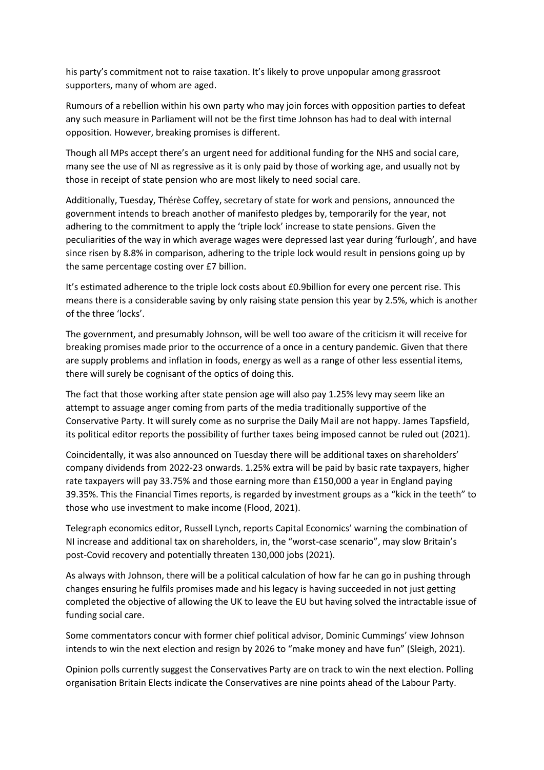his party's commitment not to raise taxation. It's likely to prove unpopular among grassroot supporters, many of whom are aged.

Rumours of a rebellion within his own party who may join forces with opposition parties to defeat any such measure in Parliament will not be the first time Johnson has had to deal with internal opposition. However, breaking promises is different.

Though all MPs accept there's an urgent need for additional funding for the NHS and social care, many see the use of NI as regressive as it is only paid by those of working age, and usually not by those in receipt of state pension who are most likely to need social care.

Additionally, Tuesday, Thérèse Coffey, secretary of state for work and pensions, announced the government intends to breach another of manifesto pledges by, temporarily for the year, not adhering to the commitment to apply the 'triple lock' increase to state pensions. Given the peculiarities of the way in which average wages were depressed last year during 'furlough', and have since risen by 8.8% in comparison, adhering to the triple lock would result in pensions going up by the same percentage costing over £7 billion.

It's estimated adherence to the triple lock costs about £0.9billion for every one percent rise. This means there is a considerable saving by only raising state pension this year by 2.5%, which is another of the three 'locks'.

The government, and presumably Johnson, will be well too aware of the criticism it will receive for breaking promises made prior to the occurrence of a once in a century pandemic. Given that there are supply problems and inflation in foods, energy as well as a range of other less essential items, there will surely be cognisant of the optics of doing this.

The fact that those working after state pension age will also pay 1.25% levy may seem like an attempt to assuage anger coming from parts of the media traditionally supportive of the Conservative Party. It will surely come as no surprise the Daily Mail are not happy. James Tapsfield, its political editor reports the possibility of further taxes being imposed cannot be ruled out (2021).

Coincidentally, it was also announced on Tuesday there will be additional taxes on shareholders' company dividends from 2022-23 onwards. 1.25% extra will be paid by basic rate taxpayers, higher rate taxpayers will pay 33.75% and those earning more than £150,000 a year in England paying 39.35%. This the Financial Times reports, is regarded by investment groups as a "kick in the teeth" to those who use investment to make income (Flood, 2021).

Telegraph economics editor, Russell Lynch, reports Capital Economics' warning the combination of NI increase and additional tax on shareholders, in, the "worst-case scenario", may slow Britain's post-Covid recovery and potentially threaten 130,000 jobs (2021).

As always with Johnson, there will be a political calculation of how far he can go in pushing through changes ensuring he fulfils promises made and his legacy is having succeeded in not just getting completed the objective of allowing the UK to leave the EU but having solved the intractable issue of funding social care.

Some commentators concur with former chief political advisor, Dominic Cummings' view Johnson intends to win the next election and resign by 2026 to "make money and have fun" (Sleigh, 2021).

Opinion polls currently suggest the Conservatives Party are on track to win the next election. Polling organisation Britain Elects indicate the Conservatives are nine points ahead of the Labour Party.